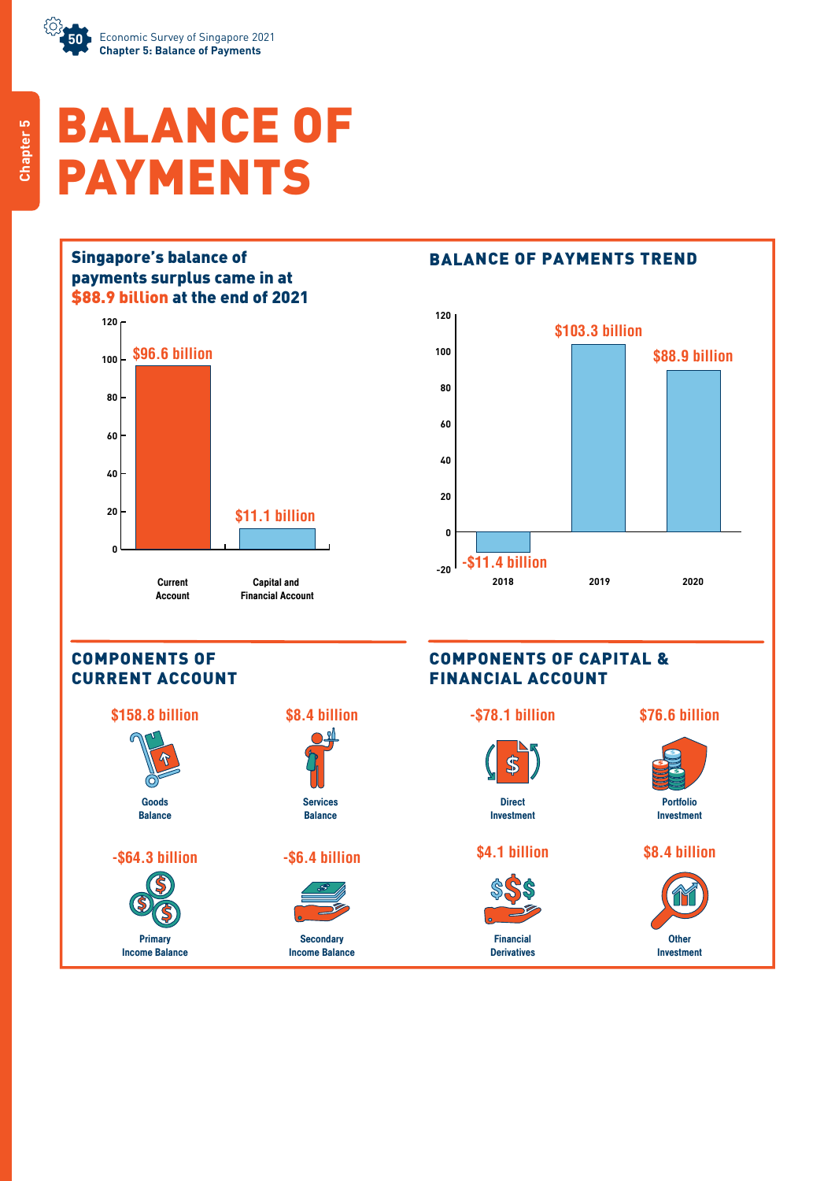

# BALANCE OF PAYMENTS





#### COMPONENTS OF CURRENT ACCOUNT

Primary Income Balance







**Secondary** Income Balance



#### COMPONENTS OF CAPITAL & FINANCIAL ACCOUNT

#### **-\$78.1 billion**



**Direct** Investment

### **\$4.1 billion**



Financial **Derivatives** 





Portfolio Investment

#### **\$8.4 billion**

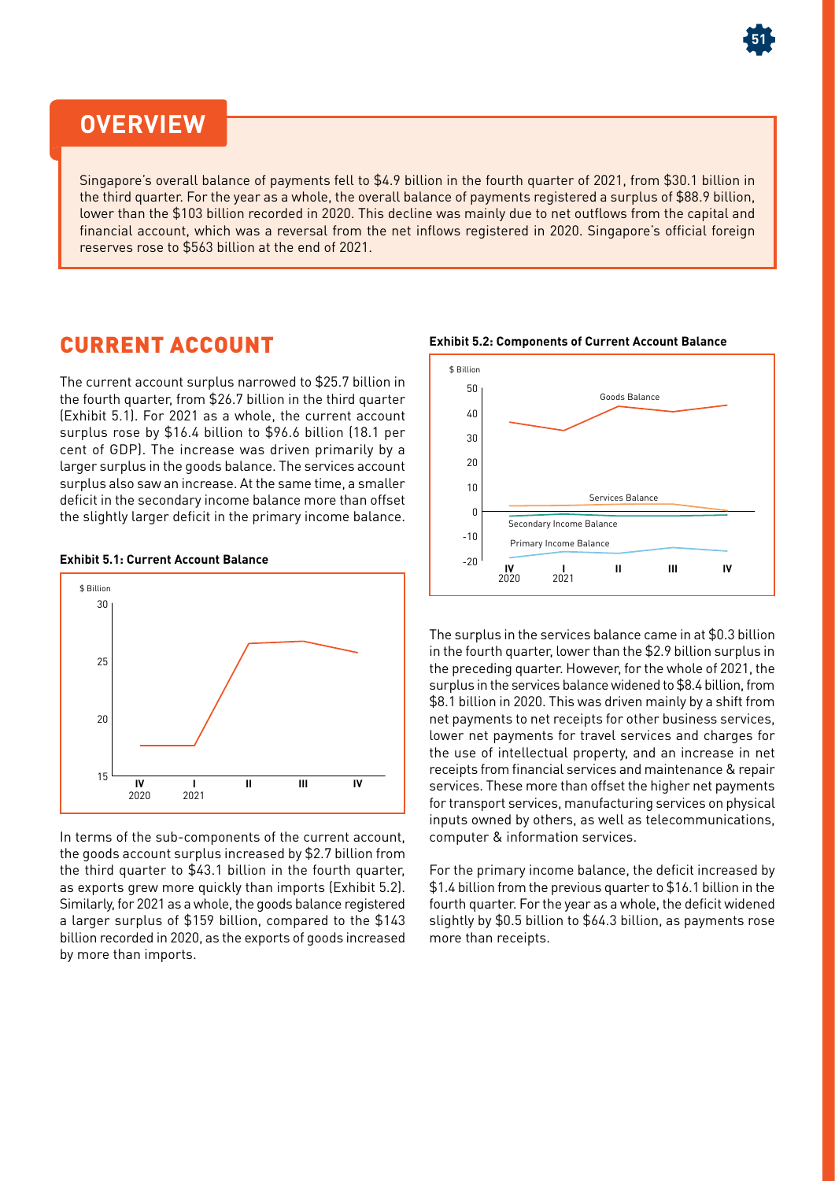# **OVERVIEW**

Singapore's overall balance of payments fell to \$4.9 billion in the fourth quarter of 2021, from \$30.1 billion in the third quarter. For the year as a whole, the overall balance of payments registered a surplus of \$88.9 billion, lower than the \$103 billion recorded in 2020. This decline was mainly due to net outflows from the capital and financial account, which was a reversal from the net inflows registered in 2020. Singapore's official foreign reserves rose to \$563 billion at the end of 2021.

## CURRENT ACCOUNT

The current account surplus narrowed to \$25.7 billion in the fourth quarter, from \$26.7 billion in the third quarter (Exhibit 5.1). For 2021 as a whole, the current account surplus rose by \$16.4 billion to \$96.6 billion (18.1 per cent of GDP). The increase was driven primarily by a larger surplus in the goods balance. The services account surplus also saw an increase. At the same time, a smaller deficit in the secondary income balance more than offset the slightly larger deficit in the primary income balance.

#### **Exhibit 5.1: Current Account Balance**



In terms of the sub-components of the current account, the goods account surplus increased by \$2.7 billion from the third quarter to \$43.1 billion in the fourth quarter, as exports grew more quickly than imports (Exhibit 5.2). Similarly, for 2021 as a whole, the goods balance registered a larger surplus of \$159 billion, compared to the \$143 billion recorded in 2020, as the exports of goods increased by more than imports.



**51**

The surplus in the services balance came in at \$0.3 billion in the fourth quarter, lower than the \$2.9 billion surplus in the preceding quarter. However, for the whole of 2021, the surplus in the services balance widened to \$8.4 billion, from \$8.1 billion in 2020. This was driven mainly by a shift from net payments to net receipts for other business services, lower net payments for travel services and charges for the use of intellectual property, and an increase in net receipts from financial services and maintenance & repair services. These more than offset the higher net payments for transport services, manufacturing services on physical inputs owned by others, as well as telecommunications, computer & information services.

For the primary income balance, the deficit increased by \$1.4 billion from the previous quarter to \$16.1 billion in the fourth quarter. For the year as a whole, the deficit widened slightly by \$0.5 billion to \$64.3 billion, as payments rose more than receipts.